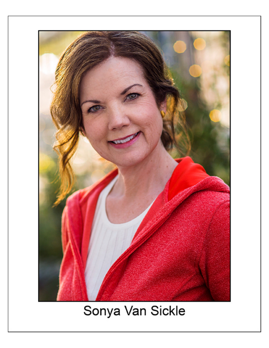

# Sonya Van Sickle